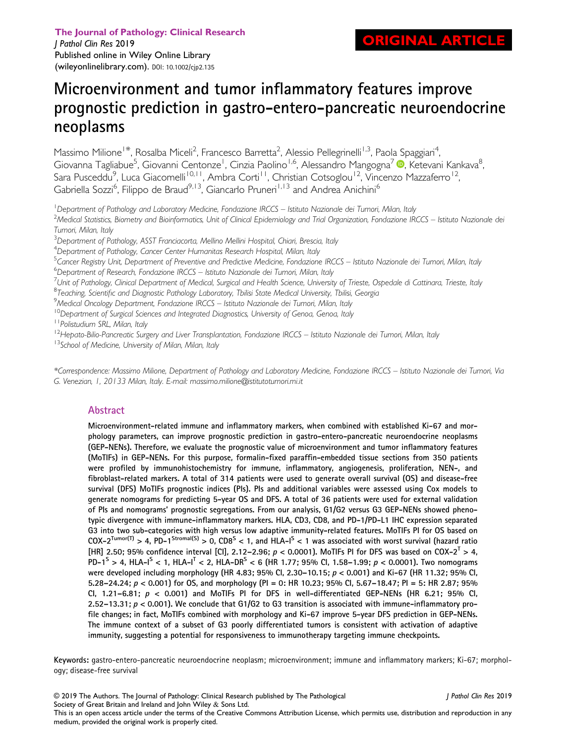# Microenvironment and tumor inflammatory features improve prognostic prediction in gastro-entero-pancreatic neuroendocrine neoplasms

Massimo Milione<sup>1\*</sup>, Rosalba Miceli<sup>2</sup>, Francesco Barretta<sup>2</sup>, Alessio Pellegrinelli<sup>1,3</sup>, Paola Spaggiari<sup>4</sup> , Giovanna Tagliabue<sup>5</sup>[,](https://orcid.org/0000-0001-7910-1274) Giovanni Centonze<sup>1</sup>, Cinzia Paolino<sup>1,6</sup>, Alessandro Mangogna<sup>7</sup> ®, Ketevani Kankava<sup>8</sup> , Sara Pusceddu<sup>9</sup>, Luca Giacomelli<sup>10,11</sup>, Ambra Corti<sup>11</sup>, Christian Cotsoglou<sup>12</sup>, Vincenzo Mazzaferro<sup>12</sup>, Gabriella Sozzi<sup>6</sup>, Filippo de Braud<sup>9,13</sup>, Giancarlo Pruneri<sup>1,13</sup> and Andrea Anichini<sup>6</sup>

<sup>1</sup> Department of Pathology and Laboratory Medicine, Fondazione IRCCS – Istituto Nazionale dei Tumori, Milan, Italy<br><sup>2</sup>Medical Statistics, Biometry and Bioinformatics, Llpit of Clinical Ebidemiology and Trial Organization,

<sup>2</sup>Medical Statistics, Biometry and Bioinformatics, Unit of Clinical Epidemiology and Trial Organization, Fondazione IRCCS – Istituto Nazionale dei Tumori, Milan, Italy

 $^3$ Department of Pathology, ASST Franciacorta, Mellino Mellini Hospital, Chiari, Brescia, Italy

<sup>4</sup>Department of Pathology, Cancer Center Humanitas Research Hospital, Milan, Italy

<sup>5</sup>Cancer Registry Unit, Department of Preventive and Predictive Medicine, Fondazione IRCCS – Istituto Nazionale dei Tumori, Milan, Italy<br><sup>6</sup>Department of Research Fondazione IRCCS – Istituto Nazionale dei Tumori, Milan, I

<sup>6</sup>Department of Research, Fondazione IRCCS – Istituto Nazionale dei Tumori, Milan, Italy

<sup>7</sup>Unit of Pathology, Clinical Department of Medical, Surgical and Health Science, University of Trieste, Ospedale di Cattinara, Trieste, Italy

<sup>8</sup>Teaching, Scientific and Diagnostic Pathology Laboratory, Tbilisi State Medical University, Tbilisi, Georgia<br><sup>9</sup>Medical Opcology Department, Eondazione IRCCS – Istituto Nazionale dei Tumori, Milan, Italy

<sup>9</sup>Medical Oncology Department, Fondazione IRCCS – Istituto Nazionale dei Tumori, Milan, Italy <sup>10</sup>Department of Surgical Sciences and Integrated Diagnostics, University of Genoa, Genoa, Italy

<sup>11</sup> Polistudium SRL, Milan, Italy

<sup>12</sup>Hepato-Bilio-Pancreatic Surgery and Liver Transplantation, Fondazione IRCCS – Istituto Nazionale dei Tumori, Milan, Italy<br><sup>13</sup>School of Medicine, University of Milan, Milan, Italy

\*Correspondence: Massimo Milione, Department of Pathology and Laboratory Medicine, Fondazione IRCCS – Istituto Nazionale dei Tumori, Via G. Venezian, 1, 20133 Milan, Italy. E-mail: [massimo.milione@istitutotumori.mi.it](mailto:massimo.milione@istitutotumori.mi.it)

## Abstract

Microenvironment-related immune and inflammatory markers, when combined with established Ki-67 and morphology parameters, can improve prognostic prediction in gastro-entero-pancreatic neuroendocrine neoplasms (GEP-NENs). Therefore, we evaluate the prognostic value of microenvironment and tumor inflammatory features (MoTIFs) in GEP-NENs. For this purpose, formalin-fixed paraffin-embedded tissue sections from 350 patients were profiled by immunohistochemistry for immune, inflammatory, angiogenesis, proliferation, NEN-, and fibroblast-related markers. A total of 314 patients were used to generate overall survival (OS) and disease-free survival (DFS) MoTIFs prognostic indices (PIs). PIs and additional variables were assessed using Cox models to generate nomograms for predicting 5-year OS and DFS. A total of 36 patients were used for external validation of PIs and nomograms' prognostic segregations. From our analysis, G1/G2 versus G3 GEP-NENs showed phenotypic divergence with immune-inflammatory markers. HLA, CD3, CD8, and PD-1/PD-L1 IHC expression separated G3 into two sub-categories with high versus low adaptive immunity-related features. MoTIFs PI for OS based on  $COX-2^{Tumor(T)} > 4$ ,  $PD-1^{Stromal(S)} > 0$ ,  $CDS<sup>S</sup> < 1$ , and  $HLA-I<sup>S</sup> < 1$  was associated with worst survival (hazard ratio [HR] 2.50; 95% confidence interval [Cl], 2.12–2.96;  $p < 0.0001$ ). MoTIFs PI for DFS was based on COX-2<sup>T</sup> > 4, PD-1<sup>S</sup> > 4, HLA-I<sup>S</sup> < 1, HLA-I<sup>T</sup> < 2, HLA-DR<sup>S</sup> < 6 (HR 1.77; 95% CI, 1.58–1.99;  $p$  < 0.0001). Two nomograms were developed including morphology (HR 4.83; 95% CI, 2.30–10.15; p < 0.001) and Ki-67 (HR 11.32; 95% CI, 5.28–24.24;  $p < 0.001$  for OS, and morphology (PI = 0: HR 10.23; 95% CI, 5.67–18.47; PI = 5: HR 2.87; 95% Cl, 1.21-6.81;  $p < 0.001$ ) and MoTIFs PI for DFS in well-differentiated GEP-NENs (HR 6.21; 95% Cl, 2.52–13.31;  $p < 0.001$ ). We conclude that G1/G2 to G3 transition is associated with immune-inflammatory profile changes; in fact, MoTIFs combined with morphology and Ki-67 improve 5-year DFS prediction in GEP-NENs. The immune context of a subset of G3 poorly differentiated tumors is consistent with activation of adaptive immunity, suggesting a potential for responsiveness to immunotherapy targeting immune checkpoints.

Keywords: gastro-entero-pancreatic neuroendocrine neoplasm; microenvironment; immune and inflammatory markers; Ki-67; morphology; disease-free survival

© 2019 The Authors. The Journal of Pathology: Clinical Research published by The Pathological Society of Great Britain and Ireland and John Wiley & Sons Ltd. J Pathol Clin Res 2019 This is an open access article under the terms of the [Creative Commons Attribution](http://creativecommons.org/licenses/by/4.0/) License, which permits use, distribution and reproduction in any medium, provided the original work is properly cited.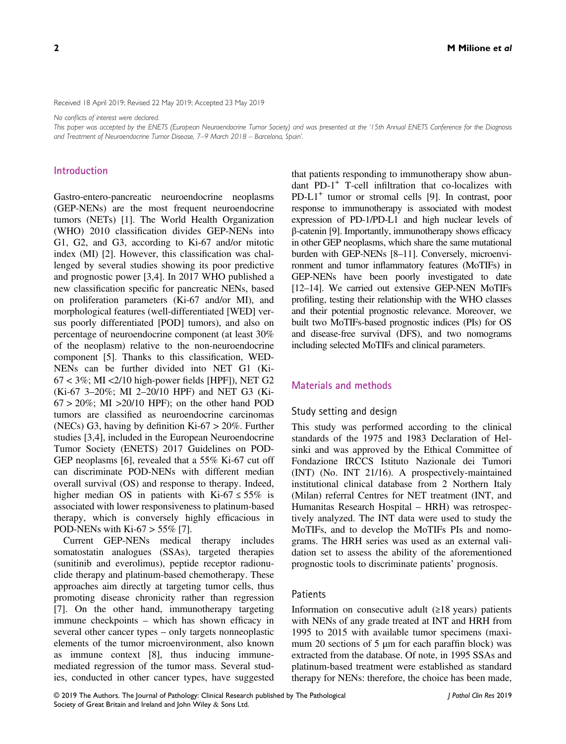Received 18 April 2019; Revised 22 May 2019; Accepted 23 May 2019

No conflicts of interest were declared.

This paper was accepted by the ENETS (European Neuroendocrine Tumor Society) and was presented at the '15th Annual ENETS Conference for the Diagnosis and Treatment of Neuroendocrine Tumor Disease, 7–9 March 2018 – Barcelona, Spain'.

#### Introduction

Gastro-entero-pancreatic neuroendocrine neoplasms (GEP-NENs) are the most frequent neuroendocrine tumors (NETs) [1]. The World Health Organization (WHO) 2010 classification divides GEP-NENs into G1, G2, and G3, according to Ki-67 and/or mitotic index (MI) [2]. However, this classification was challenged by several studies showing its poor predictive and prognostic power [3,4]. In 2017 WHO published a new classification specific for pancreatic NENs, based on proliferation parameters (Ki-67 and/or MI), and morphological features (well-differentiated [WED] versus poorly differentiated [POD] tumors), and also on percentage of neuroendocrine component (at least 30% of the neoplasm) relative to the non-neuroendocrine component [5]. Thanks to this classification, WED-NENs can be further divided into NET G1 (Ki- $67 < 3\%$ ; MI < $2/10$  high-power fields [HPF]), NET G2 (Ki-67 3–20%; MI 2–20/10 HPF) and NET G3 (Ki- $67 > 20\%$ ; MI  $>20/10$  HPF); on the other hand POD tumors are classified as neuroendocrine carcinomas (NECs) G3, having by definition Ki-67 > 20%. Further studies [3,4], included in the European Neuroendocrine Tumor Society (ENETS) 2017 Guidelines on POD-GEP neoplasms [6], revealed that a 55% Ki-67 cut off can discriminate POD-NENs with different median overall survival (OS) and response to therapy. Indeed, higher median OS in patients with Ki-67  $\leq$  55% is associated with lower responsiveness to platinum-based therapy, which is conversely highly efficacious in POD-NENs with Ki-67  $>$  55% [7].

Current GEP-NENs medical therapy includes somatostatin analogues (SSAs), targeted therapies (sunitinib and everolimus), peptide receptor radionuclide therapy and platinum-based chemotherapy. These approaches aim directly at targeting tumor cells, thus promoting disease chronicity rather than regression [7]. On the other hand, immunotherapy targeting immune checkpoints – which has shown efficacy in several other cancer types – only targets nonneoplastic elements of the tumor microenvironment, also known as immune context [8], thus inducing immunemediated regression of the tumor mass. Several studies, conducted in other cancer types, have suggested that patients responding to immunotherapy show abundant PD-1+ T-cell infiltration that co-localizes with PD-L1+ tumor or stromal cells [9]. In contrast, poor response to immunotherapy is associated with modest expression of PD-1/PD-L1 and high nuclear levels of β-catenin [9]. Importantly, immunotherapy shows efficacy in other GEP neoplasms, which share the same mutational burden with GEP-NENs [8–11]. Conversely, microenvironment and tumor inflammatory features (MoTIFs) in GEP-NENs have been poorly investigated to date [12–14]. We carried out extensive GEP-NEN MoTIFs profiling, testing their relationship with the WHO classes and their potential prognostic relevance. Moreover, we built two MoTIFs-based prognostic indices (PIs) for OS and disease-free survival (DFS), and two nomograms including selected MoTIFs and clinical parameters.

## Materials and methods

#### Study setting and design

This study was performed according to the clinical standards of the 1975 and 1983 Declaration of Helsinki and was approved by the Ethical Committee of Fondazione IRCCS Istituto Nazionale dei Tumori (INT) (No. INT 21/16). A prospectively-maintained institutional clinical database from 2 Northern Italy (Milan) referral Centres for NET treatment (INT, and Humanitas Research Hospital – HRH) was retrospectively analyzed. The INT data were used to study the MoTIFs, and to develop the MoTIFs PIs and nomograms. The HRH series was used as an external validation set to assess the ability of the aforementioned prognostic tools to discriminate patients' prognosis.

#### **Patients**

Information on consecutive adult  $(≥18 \text{ years})$  patients with NENs of any grade treated at INT and HRH from 1995 to 2015 with available tumor specimens (maximum 20 sections of 5  $\mu$ m for each paraffin block) was extracted from the database. Of note, in 1995 SSAs and platinum-based treatment were established as standard therapy for NENs: therefore, the choice has been made,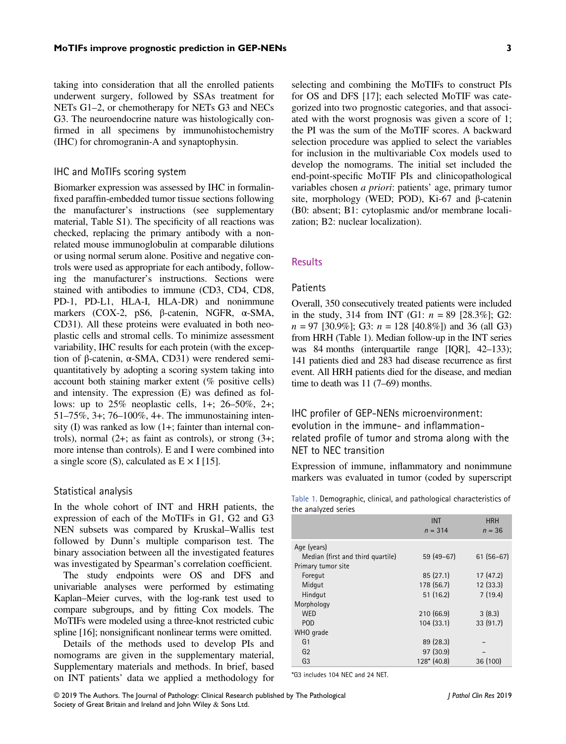taking into consideration that all the enrolled patients underwent surgery, followed by SSAs treatment for NETs G1–2, or chemotherapy for NETs G3 and NECs G3. The neuroendocrine nature was histologically confirmed in all specimens by immunohistochemistry (IHC) for chromogranin-A and synaptophysin.

# IHC and MoTIFs scoring system

Biomarker expression was assessed by IHC in formalinfixed paraffin-embedded tumor tissue sections following the manufacturer's instructions (see supplementary material, Table S1). The specificity of all reactions was checked, replacing the primary antibody with a nonrelated mouse immunoglobulin at comparable dilutions or using normal serum alone. Positive and negative controls were used as appropriate for each antibody, following the manufacturer's instructions. Sections were stained with antibodies to immune (CD3, CD4, CD8, PD-1, PD-L1, HLA-I, HLA-DR) and nonimmune markers (COX-2, pS6, β-catenin, NGFR, α-SMA, CD31). All these proteins were evaluated in both neoplastic cells and stromal cells. To minimize assessment variability, IHC results for each protein (with the exception of β-catenin, α-SMA, CD31) were rendered semiquantitatively by adopting a scoring system taking into account both staining marker extent (% positive cells) and intensity. The expression (E) was defined as follows: up to  $25\%$  neoplastic cells, 1+; 26–50%, 2+; 51–75%, 3+; 76–100%, 4+. The immunostaining intensity (I) was ranked as low (1+; fainter than internal controls), normal (2+; as faint as controls), or strong (3+; more intense than controls). E and I were combined into a single score (S), calculated as  $E \times I$  [15].

#### Statistical analysis

In the whole cohort of INT and HRH patients, the expression of each of the MoTIFs in G1, G2 and G3 NEN subsets was compared by Kruskal–Wallis test followed by Dunn's multiple comparison test. The binary association between all the investigated features was investigated by Spearman's correlation coefficient.

The study endpoints were OS and DFS and univariable analyses were performed by estimating Kaplan–Meier curves, with the log-rank test used to compare subgroups, and by fitting Cox models. The MoTIFs were modeled using a three-knot restricted cubic spline [16]; nonsignificant nonlinear terms were omitted.

Details of the methods used to develop PIs and nomograms are given in the supplementary material, Supplementary materials and methods. In brief, based on INT patients' data we applied a methodology for selecting and combining the MoTIFs to construct PIs for OS and DFS [17]; each selected MoTIF was categorized into two prognostic categories, and that associated with the worst prognosis was given a score of 1; the PI was the sum of the MoTIF scores. A backward selection procedure was applied to select the variables for inclusion in the multivariable Cox models used to develop the nomograms. The initial set included the end-point-specific MoTIF PIs and clinicopathological variables chosen a priori: patients' age, primary tumor site, morphology (WED; POD), Ki-67 and β-catenin (B0: absent; B1: cytoplasmic and/or membrane localization; B2: nuclear localization).

## **Results**

# **Patients**

Overall, 350 consecutively treated patients were included in the study, 314 from INT (G1:  $n = 89$  [28.3%]; G2:  $n = 97$  [30.9%]; G3:  $n = 128$  [40.8%]) and 36 (all G3) from HRH (Table 1). Median follow-up in the INT series was 84 months (interquartile range [IQR], 42–133); 141 patients died and 283 had disease recurrence as first event. All HRH patients died for the disease, and median time to death was 11 (7–69) months.

# IHC profiler of GEP-NENs microenvironment: evolution in the immune- and inflammationrelated profile of tumor and stroma along with the NET to NEC transition

Expression of immune, inflammatory and nonimmune markers was evaluated in tumor (coded by superscript

| Table 1. Demographic, clinical, and pathological characteristics of |  |  |  |
|---------------------------------------------------------------------|--|--|--|
| the analyzed series                                                 |  |  |  |

|                                   | <b>INT</b><br>$n = 314$ | <b>HRH</b><br>$n = 36$ |
|-----------------------------------|-------------------------|------------------------|
| Age (years)                       |                         |                        |
| Median (first and third quartile) | $59(49-67)$             | $61(56-67)$            |
| Primary tumor site                |                         |                        |
| Foregut                           | 85(27.1)                | 17(47.2)               |
| Midgut                            | 178 (56.7)              | 12(33.3)               |
| Hindgut                           | 51(16.2)                | 7(19.4)                |
| Morphology                        |                         |                        |
| <b>WED</b>                        | 210 (66.9)              | 3(8.3)                 |
| <b>POD</b>                        | 104(33.1)               | 33 (91.7)              |
| WHO grade                         |                         |                        |
| G <sub>1</sub>                    | 89 (28.3)               |                        |
| G <sub>2</sub>                    | 97 (30.9)               |                        |
| G <sub>3</sub>                    | $128*(40.8)$            | 36 (100)               |

\*G3 includes 104 NEC and 24 NET.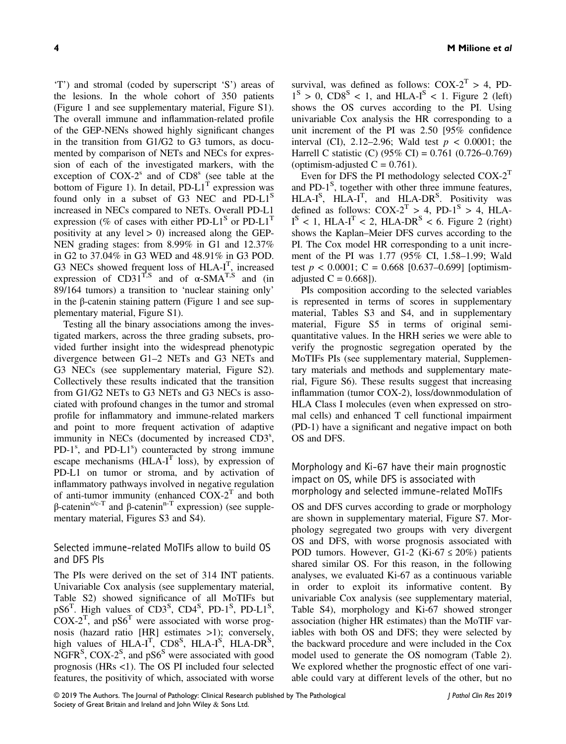'T') and stromal (coded by superscript 'S') areas of the lesions. In the whole cohort of 350 patients (Figure 1 and see supplementary material, Figure S1). The overall immune and inflammation-related profile of the GEP-NENs showed highly significant changes in the transition from G1/G2 to G3 tumors, as documented by comparison of NETs and NECs for expression of each of the investigated markers, with the exception of  $COX-2<sup>s</sup>$  and of  $CD8<sup>s</sup>$  (see table at the bottom of Figure 1). In detail,  $PD-L1<sup>T</sup>$  expression was found only in a subset of G3 NEC and PD-L1<sup>S</sup> increased in NECs compared to NETs. Overall PD-L1 expression (% of cases with either PD-L1<sup>S</sup> or PD-L1<sup>T</sup> positivity at any level  $> 0$ ) increased along the GEP-NEN grading stages: from 8.99% in G1 and 12.37% in G2 to 37.04% in G3 WED and 48.91% in G3 POD. G3 NECs showed frequent loss of  $HLA-I<sup>T</sup>$ , increased expression of  $CD31^{T,S}$  and of  $\alpha$ -SMA<sup>T,S</sup> and (in 89/164 tumors) a transition to 'nuclear staining only' in the β-catenin staining pattern (Figure 1 and see supplementary material, Figure S1).

Testing all the binary associations among the investigated markers, across the three grading subsets, provided further insight into the widespread phenotypic divergence between G1–2 NETs and G3 NETs and G3 NECs (see supplementary material, Figure S2). Collectively these results indicated that the transition from G1/G2 NETs to G3 NETs and G3 NECs is associated with profound changes in the tumor and stromal profile for inflammatory and immune-related markers and point to more frequent activation of adaptive immunity in NECs (documented by increased CD3<sup>s</sup>, PD-1<sup>s</sup>, and PD-L1<sup>s</sup>) counteracted by strong immune escape mechanisms  $(HLA-I<sup>T</sup>$  loss), by expression of PD-L1 on tumor or stroma, and by activation of inflammatory pathways involved in negative regulation of anti-tumor immunity (enhanced  $COX-2<sup>T</sup>$  and both  $β$ -catenin<sup>s/c-T</sup> and  $β$ -catenin<sup>n-T</sup> expression) (see supplementary material, Figures S3 and S4).

# Selected immune-related MoTIFs allow to build OS and DFS PIs

The PIs were derived on the set of 314 INT patients. Univariable Cox analysis (see supplementary material, Table S2) showed significance of all MoTIFs but  $pS6<sup>T</sup>$ . High values of CD3<sup>S</sup>, CD4<sup>S</sup>, PD-1<sup>S</sup>, PD-L1<sup>S</sup>,  $COX-2<sup>T</sup>$ , and pS6<sup>T</sup> were associated with worse prognosis (hazard ratio [HR] estimates >1); conversely, high values of  $HLA-I<sup>T</sup>$ ,  $CDS<sup>S</sup>$ ,  $HLA-I<sup>S</sup>$ ,  $HLA-DR<sup>S</sup>$ , NGFR<sup>S</sup>, COX-2<sup>S</sup>, and  $pS6<sup>S</sup>$  were associated with good prognosis (HRs <1). The OS PI included four selected features, the positivity of which, associated with worse survival, was defined as follows:  $COX-2^{T} > 4$ , PD- $1<sup>S</sup> > 0$ , CD8<sup>S</sup> < 1, and HLA-I<sup>S</sup> < 1. Figure 2 (left) shows the OS curves according to the PI. Using univariable Cox analysis the HR corresponding to a unit increment of the PI was 2.50 [95% confidence interval (CI), 2.12–2.96; Wald test  $p < 0.0001$ ; the Harrell C statistic (C) (95% CI) = 0.761 (0.726–0.769) (optimism-adjusted  $C = 0.761$ ).

Even for DFS the PI methodology selected  $COX-2<sup>T</sup>$ and PD-1<sup>S</sup>, together with other three immune features,  $HLA-I<sup>S</sup>$ ,  $HLA-I<sup>T</sup>$ , and  $HLA-DR<sup>S</sup>$ . Positivity was defined as follows:  $COX-2^{T} > 4$ ,  $PD-1^{S} > 4$ ,  $HLA I^S$  < 1, HLA- $I^T$  < 2, HLA-DR<sup>S</sup> < 6. Figure 2 (right) shows the Kaplan–Meier DFS curves according to the PI. The Cox model HR corresponding to a unit increment of the PI was 1.77 (95% CI, 1.58–1.99; Wald test  $p < 0.0001$ ; C = 0.668 [0.637–0.699] [optimismadjusted  $C = 0.668$ ]).

PIs composition according to the selected variables is represented in terms of scores in supplementary material, Tables S3 and S4, and in supplementary material, Figure S5 in terms of original semiquantitative values. In the HRH series we were able to verify the prognostic segregation operated by the MoTIFs PIs (see supplementary material, Supplementary materials and methods and supplementary material, Figure S6). These results suggest that increasing inflammation (tumor COX-2), loss/downmodulation of HLA Class I molecules (even when expressed on stromal cells) and enhanced T cell functional impairment (PD-1) have a significant and negative impact on both OS and DFS.

Morphology and Ki-67 have their main prognostic impact on OS, while DFS is associated with morphology and selected immune-related MoTIFs

OS and DFS curves according to grade or morphology are shown in supplementary material, Figure S7. Morphology segregated two groups with very divergent OS and DFS, with worse prognosis associated with POD tumors. However, G1-2 (Ki-67  $\leq$  20%) patients shared similar OS. For this reason, in the following analyses, we evaluated Ki-67 as a continuous variable in order to exploit its informative content. By univariable Cox analysis (see supplementary material, Table S4), morphology and Ki-67 showed stronger association (higher HR estimates) than the MoTIF variables with both OS and DFS; they were selected by the backward procedure and were included in the Cox model used to generate the OS nomogram (Table 2). We explored whether the prognostic effect of one variable could vary at different levels of the other, but no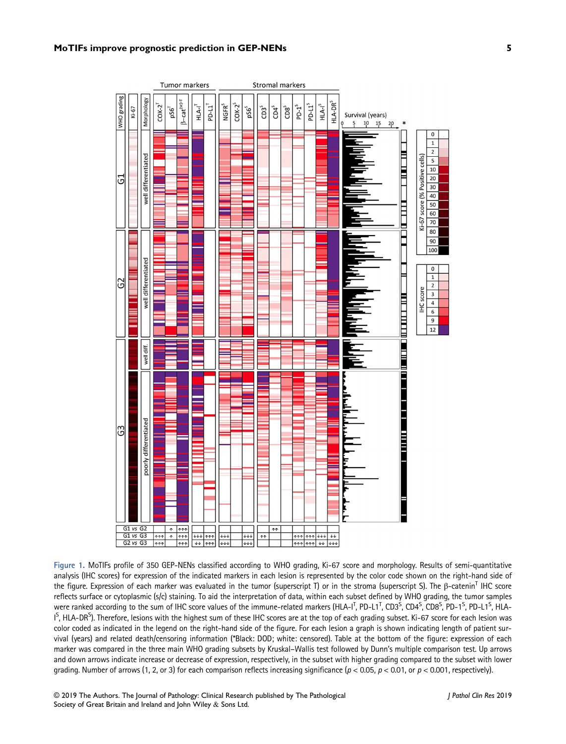#### MoTIFs improve prognostic prediction in GEP-NENs 5



Figure 1. MoTIFs profile of 350 GEP-NENs classified according to WHO grading, Ki-67 score and morphology. Results of semi-quantitative analysis (IHC scores) for expression of the indicated markers in each lesion is represented by the color code shown on the right-hand side of the figure. Expression of each marker was evaluated in the tumor (superscript T) or in the stroma (superscript S). The β-catenin<sup>T</sup> IHC score reflects surface or cytoplasmic (s/c) staining. To aid the interpretation of data, within each subset defined by WHO grading, the tumor samples were ranked according to the sum of IHC score values of the immune-related markers (HLA-I<sup>T</sup>, PD-L1<sup>T</sup>, CD3<sup>S</sup>, CD4<sup>S</sup>, CD8<sup>S</sup>, PD-1<sup>S</sup>, PD-L1<sup>S</sup>, HLA- $1^S$ , HLA-DR $^S$ ). Therefore, lesions with the highest sum of these IHC scores are at the top of each grading subset. Ki-67 score for each lesion was color coded as indicated in the legend on the right-hand side of the figure. For each lesion a graph is shown indicating length of patient survival (years) and related death/censoring information (\*Black: DOD; white: censored). Table at the bottom of the figure: expression of each marker was compared in the three main WHO grading subsets by Kruskal–Wallis test followed by Dunn's multiple comparison test. Up arrows and down arrows indicate increase or decrease of expression, respectively, in the subset with higher grading compared to the subset with lower grading. Number of arrows (1, 2, or 3) for each comparison reflects increasing significance ( $p < 0.05$ ,  $p < 0.01$ , or  $p < 0.001$ , respectively).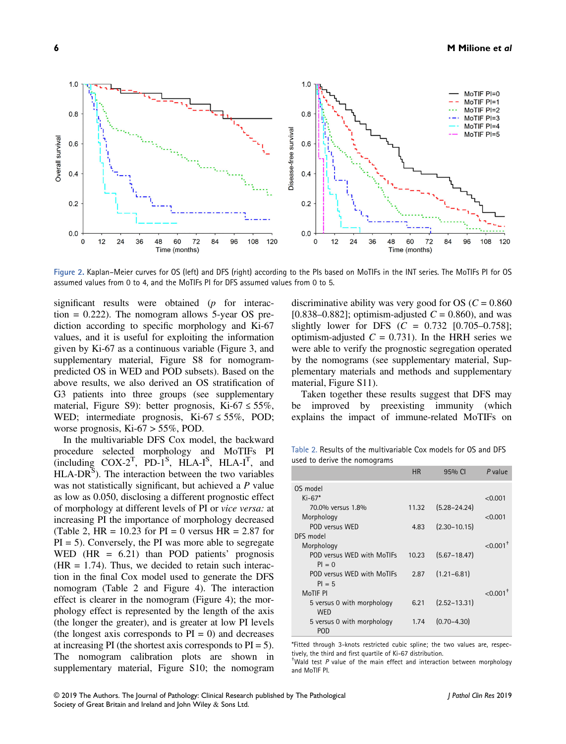

Figure 2. Kaplan–Meier curves for OS (left) and DFS (right) according to the PIs based on MoTIFs in the INT series. The MoTIFs PI for OS assumed values from 0 to 4, and the MoTIFs PI for DFS assumed values from 0 to 5.

significant results were obtained  $(p$  for interaction  $= 0.222$ ). The nomogram allows 5-year OS prediction according to specific morphology and Ki-67 values, and it is useful for exploiting the information given by Ki-67 as a continuous variable (Figure 3, and supplementary material, Figure S8 for nomogrampredicted OS in WED and POD subsets). Based on the above results, we also derived an OS stratification of G3 patients into three groups (see supplementary material, Figure S9): better prognosis, Ki-67  $\leq$  55%, WED; intermediate prognosis, Ki-67  $\leq$  55%, POD; worse prognosis, Ki-67 > 55%, POD.

In the multivariable DFS Cox model, the backward procedure selected morphology and MoTIFs PI (including  $COX-2^T$ , PD-1<sup>S</sup>, HLA-I<sup>S</sup>, HLA-I<sup>T</sup>, and  $HLA-DR^{S}$ ). The interaction between the two variables was not statistically significant, but achieved a P value as low as 0.050, disclosing a different prognostic effect of morphology at different levels of PI or vice versa: at increasing PI the importance of morphology decreased (Table 2, HR =  $10.23$  for PI = 0 versus HR =  $2.87$  for  $PI = 5$ ). Conversely, the PI was more able to segregate WED (HR  $= 6.21$ ) than POD patients' prognosis  $(HR = 1.74)$ . Thus, we decided to retain such interaction in the final Cox model used to generate the DFS nomogram (Table 2 and Figure 4). The interaction effect is clearer in the nomogram (Figure 4); the morphology effect is represented by the length of the axis (the longer the greater), and is greater at low PI levels (the longest axis corresponds to  $PI = 0$ ) and decreases at increasing PI (the shortest axis corresponds to  $PI = 5$ ). The nomogram calibration plots are shown in supplementary material, Figure S10; the nomogram

discriminative ability was very good for OS ( $C = 0.860$ ) [0.838–0.882]; optimism-adjusted  $C = 0.860$ , and was slightly lower for DFS  $(C = 0.732 \, [0.705 - 0.758];$ optimism-adjusted  $C = 0.731$ . In the HRH series we were able to verify the prognostic segregation operated by the nomograms (see supplementary material, Supplementary materials and methods and supplementary material, Figure S11).

Taken together these results suggest that DFS may be improved by preexisting immunity (which explains the impact of immune-related MoTIFs on

Table 2. Results of the multivariable Cox models for OS and DFS used to derive the nomograms

|                                        | <b>HR</b> | 95% CI           | P value                |
|----------------------------------------|-----------|------------------|------------------------|
| OS model                               |           |                  |                        |
| $Ki-67*$                               |           |                  | < 0.001                |
| 70.0% versus 1.8%                      | 11.32     | $(5.28 - 24.24)$ |                        |
| Morphology                             |           |                  | < 0.001                |
| POD versus WED                         | 4.83      | $(2.30 - 10.15)$ |                        |
| DFS model                              |           |                  |                        |
| Morphology                             |           |                  | $< 0.001$ <sup>+</sup> |
| POD versus WED with MoTIFs<br>$PI = 0$ | 10.23     | $(5.67 - 18.47)$ |                        |
| POD versus WED with MoTIFs             | 2.87      | $(1.21 - 6.81)$  |                        |
| $PI = 5$                               |           |                  |                        |
| MoTIF PI                               |           |                  | $< 0.001$ <sup>+</sup> |
| 5 versus 0 with morphology             | 6.21      | $(2.52 - 13.31)$ |                        |
| <b>WED</b>                             |           |                  |                        |
| 5 versus 0 with morphology             | 1.74      | $(0.70 - 4.30)$  |                        |
| <b>POD</b>                             |           |                  |                        |

\*Fitted through 3-knots restricted cubic spline; the two values are, respectively, the third and first quartile of Ki-67 distribution. †

Wald test P value of the main effect and interaction between morphology and MoTIF PI.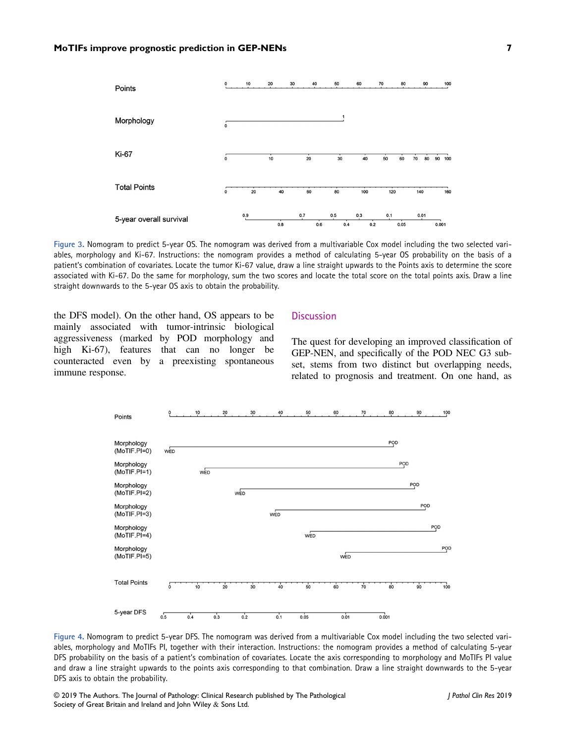

Figure 3. Nomogram to predict 5-year OS. The nomogram was derived from a multivariable Cox model including the two selected variables, morphology and Ki-67. Instructions: the nomogram provides a method of calculating 5-year OS probability on the basis of a patient's combination of covariates. Locate the tumor Ki-67 value, draw a line straight upwards to the Points axis to determine the score associated with Ki-67. Do the same for morphology, sum the two scores and locate the total score on the total points axis. Draw a line straight downwards to the 5-year OS axis to obtain the probability.

the DFS model). On the other hand, OS appears to be mainly associated with tumor-intrinsic biological aggressiveness (marked by POD morphology and high Ki-67), features that can no longer be counteracted even by a preexisting spontaneous immune response.

# **Discussion**

The quest for developing an improved classification of GEP-NEN, and specifically of the POD NEC G3 subset, stems from two distinct but overlapping needs, related to prognosis and treatment. On one hand, as



Figure 4. Nomogram to predict 5-year DFS. The nomogram was derived from a multivariable Cox model including the two selected variables, morphology and MoTIFs PI, together with their interaction. Instructions: the nomogram provides a method of calculating 5-year DFS probability on the basis of a patient's combination of covariates. Locate the axis corresponding to morphology and MoTIFs PI value and draw a line straight upwards to the points axis corresponding to that combination. Draw a line straight downwards to the 5-year DFS axis to obtain the probability.

© 2019 The Authors. The Journal of Pathology: Clinical Research published by The Pathological Society of Great Britain and Ireland and John Wiley & Sons Ltd.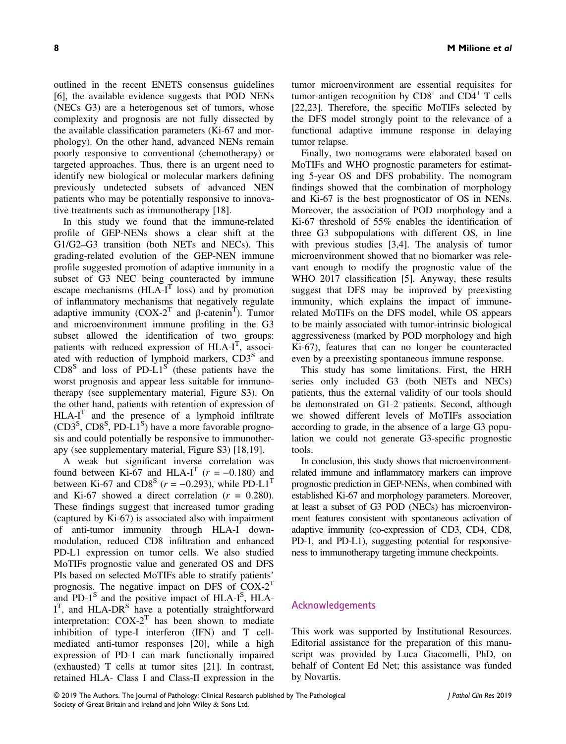outlined in the recent ENETS consensus guidelines [6], the available evidence suggests that POD NENs (NECs G3) are a heterogenous set of tumors, whose complexity and prognosis are not fully dissected by the available classification parameters (Ki-67 and morphology). On the other hand, advanced NENs remain poorly responsive to conventional (chemotherapy) or targeted approaches. Thus, there is an urgent need to identify new biological or molecular markers defining previously undetected subsets of advanced NEN patients who may be potentially responsive to innovative treatments such as immunotherapy [18].

In this study we found that the immune-related profile of GEP-NENs shows a clear shift at the G1/G2–G3 transition (both NETs and NECs). This grading-related evolution of the GEP-NEN immune profile suggested promotion of adaptive immunity in a subset of G3 NEC being counteracted by immune escape mechanisms  $(HLA-I<sup>T</sup>$  loss) and by promotion of inflammatory mechanisms that negatively regulate adaptive immunity  $(COX-2^T \text{ and } \beta\text{-catenin}^T)$ . Tumor and microenvironment immune profiling in the G3 subset allowed the identification of two groups: patients with reduced expression of HLA-I<sup>T</sup>, associated with reduction of lymphoid markers, CD3<sup>S</sup> and  $CDS<sup>S</sup>$  and loss of PD-L1<sup>S</sup> (these patients have the worst prognosis and appear less suitable for immunotherapy (see supplementary material, Figure S3). On the other hand, patients with retention of expression of  $HLA-I<sup>T</sup>$  and the presence of a lymphoid infiltrate  $(CD3<sup>S</sup>, CD8<sup>S</sup>, PD-L1<sup>S</sup>)$  have a more favorable prognosis and could potentially be responsive to immunotherapy (see supplementary material, Figure S3) [18,19].

A weak but significant inverse correlation was found between Ki-67 and HLA-I<sup>T</sup> ( $r = -0.180$ ) and between Ki-67 and CD8<sup>S</sup> ( $r = -0.293$ ), while PD-L1<sup>T</sup> and Ki-67 showed a direct correlation  $(r = 0.280)$ . These findings suggest that increased tumor grading (captured by Ki-67) is associated also with impairment of anti-tumor immunity through HLA-I downmodulation, reduced CD8 infiltration and enhanced PD-L1 expression on tumor cells. We also studied MoTIFs prognostic value and generated OS and DFS PIs based on selected MoTIFs able to stratify patients' prognosis. The negative impact on DFS of  $COX-2<sup>T</sup>$ and PD- $1<sup>S</sup>$  and the positive impact of HLA- $I<sup>S</sup>$ , HLA-I<sup>T</sup>, and HLA-DR<sup>S</sup> have a potentially straightforward interpretation:  $COX-2^T$  has been shown to mediate inhibition of type-I interferon (IFN) and T cellmediated anti-tumor responses [20], while a high expression of PD-1 can mark functionally impaired (exhausted) T cells at tumor sites [21]. In contrast, retained HLA- Class I and Class-II expression in the

tumor microenvironment are essential requisites for tumor-antigen recognition by  $CDS<sup>+</sup>$  and  $CD4<sup>+</sup>$  T cells [22,23]. Therefore, the specific MoTIFs selected by the DFS model strongly point to the relevance of a functional adaptive immune response in delaying tumor relapse.

Finally, two nomograms were elaborated based on MoTIFs and WHO prognostic parameters for estimating 5-year OS and DFS probability. The nomogram findings showed that the combination of morphology and Ki-67 is the best prognosticator of OS in NENs. Moreover, the association of POD morphology and a Ki-67 threshold of 55% enables the identification of three G3 subpopulations with different OS, in line with previous studies [3,4]. The analysis of tumor microenvironment showed that no biomarker was relevant enough to modify the prognostic value of the WHO 2017 classification [5]. Anyway, these results suggest that DFS may be improved by preexisting immunity, which explains the impact of immunerelated MoTIFs on the DFS model, while OS appears to be mainly associated with tumor-intrinsic biological aggressiveness (marked by POD morphology and high Ki-67), features that can no longer be counteracted even by a preexisting spontaneous immune response.

This study has some limitations. First, the HRH series only included G3 (both NETs and NECs) patients, thus the external validity of our tools should be demonstrated on G1-2 patients. Second, although we showed different levels of MoTIFs association according to grade, in the absence of a large G3 population we could not generate G3-specific prognostic tools.

In conclusion, this study shows that microenvironmentrelated immune and inflammatory markers can improve prognostic prediction in GEP-NENs, when combined with established Ki-67 and morphology parameters. Moreover, at least a subset of G3 POD (NECs) has microenvironment features consistent with spontaneous activation of adaptive immunity (co-expression of CD3, CD4, CD8, PD-1, and PD-L1), suggesting potential for responsiveness to immunotherapy targeting immune checkpoints.

## Acknowledgements

This work was supported by Institutional Resources. Editorial assistance for the preparation of this manuscript was provided by Luca Giacomelli, PhD, on behalf of Content Ed Net; this assistance was funded by Novartis.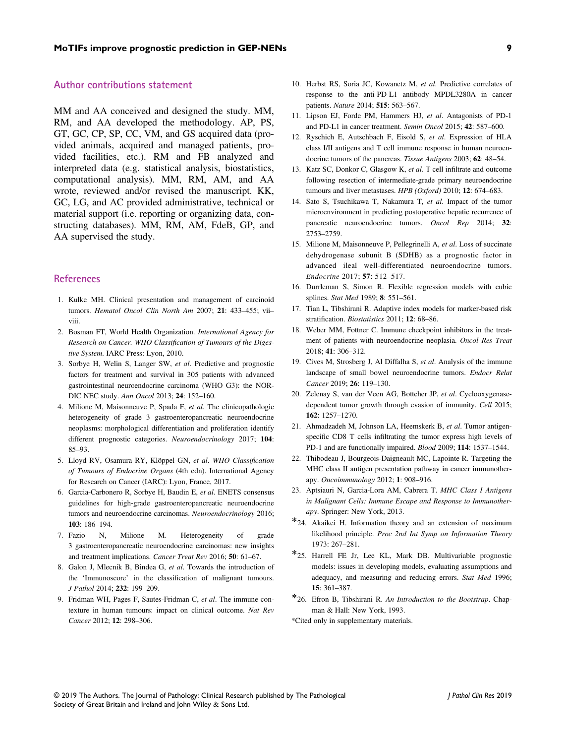#### Author contributions statement

MM and AA conceived and designed the study. MM, RM, and AA developed the methodology. AP, PS, GT, GC, CP, SP, CC, VM, and GS acquired data (provided animals, acquired and managed patients, provided facilities, etc.). RM and FB analyzed and interpreted data (e.g. statistical analysis, biostatistics, computational analysis). MM, RM, AM, and AA wrote, reviewed and/or revised the manuscript. KK, GC, LG, and AC provided administrative, technical or material support (i.e. reporting or organizing data, constructing databases). MM, RM, AM, FdeB, GP, and AA supervised the study.

## References

- 1. Kulke MH. Clinical presentation and management of carcinoid tumors. Hematol Oncol Clin North Am 2007; 21: 433-455; viiviii.
- 2. Bosman FT, World Health Organization. International Agency for Research on Cancer. WHO Classification of Tumours of the Digestive System. IARC Press: Lyon, 2010.
- 3. Sorbye H, Welin S, Langer SW, et al. Predictive and prognostic factors for treatment and survival in 305 patients with advanced gastrointestinal neuroendocrine carcinoma (WHO G3): the NOR-DIC NEC study. Ann Oncol 2013; 24: 152–160.
- 4. Milione M, Maisonneuve P, Spada F, et al. The clinicopathologic heterogeneity of grade 3 gastroenteropancreatic neuroendocrine neoplasms: morphological differentiation and proliferation identify different prognostic categories. Neuroendocrinology 2017; 104: 85–93.
- 5. Lloyd RV, Osamura RY, Klöppel GN, et al. WHO Classification of Tumours of Endocrine Organs (4th edn). International Agency for Research on Cancer (IARC): Lyon, France, 2017.
- 6. Garcia-Carbonero R, Sorbye H, Baudin E, et al. ENETS consensus guidelines for high-grade gastroenteropancreatic neuroendocrine tumors and neuroendocrine carcinomas. Neuroendocrinology 2016; 103: 186–194.
- 7. Fazio N, Milione M. Heterogeneity of grade 3 gastroenteropancreatic neuroendocrine carcinomas: new insights and treatment implications. Cancer Treat Rev 2016; 50: 61–67.
- 8. Galon J, Mlecnik B, Bindea G, et al. Towards the introduction of the 'Immunoscore' in the classification of malignant tumours. J Pathol 2014; 232: 199–209.
- 9. Fridman WH, Pages F, Sautes-Fridman C, et al. The immune contexture in human tumours: impact on clinical outcome. Nat Rev Cancer 2012; 12: 298–306.
- 10. Herbst RS, Soria JC, Kowanetz M, et al. Predictive correlates of response to the anti-PD-L1 antibody MPDL3280A in cancer patients. Nature 2014; 515: 563–567.
- 11. Lipson EJ, Forde PM, Hammers HJ, et al. Antagonists of PD-1 and PD-L1 in cancer treatment. Semin Oncol 2015; 42: 587–600.
- 12. Ryschich E, Autschbach F, Eisold S, et al. Expression of HLA class I/II antigens and T cell immune response in human neuroendocrine tumors of the pancreas. Tissue Antigens 2003; 62: 48–54.
- 13. Katz SC, Donkor C, Glasgow K, et al. T cell infiltrate and outcome following resection of intermediate-grade primary neuroendocrine tumours and liver metastases. HPB (Oxford) 2010; 12: 674-683.
- 14. Sato S, Tsuchikawa T, Nakamura T, et al. Impact of the tumor microenvironment in predicting postoperative hepatic recurrence of pancreatic neuroendocrine tumors. Oncol Rep 2014; 32: 2753–2759.
- 15. Milione M, Maisonneuve P, Pellegrinelli A, et al. Loss of succinate dehydrogenase subunit B (SDHB) as a prognostic factor in advanced ileal well-differentiated neuroendocrine tumors. Endocrine 2017; 57: 512–517.
- 16. Durrleman S, Simon R. Flexible regression models with cubic splines. Stat Med 1989; 8: 551–561.
- 17. Tian L, Tibshirani R. Adaptive index models for marker-based risk stratification. Biostatistics 2011; 12: 68–86.
- 18. Weber MM, Fottner C. Immune checkpoint inhibitors in the treatment of patients with neuroendocrine neoplasia. Oncol Res Treat 2018; 41: 306–312.
- 19. Cives M, Strosberg J, Al Diffalha S, et al. Analysis of the immune landscape of small bowel neuroendocrine tumors. Endocr Relat Cancer 2019; 26: 119–130.
- 20. Zelenay S, van der Veen AG, Bottcher JP, et al. Cyclooxygenasedependent tumor growth through evasion of immunity. Cell 2015; 162: 1257–1270.
- 21. Ahmadzadeh M, Johnson LA, Heemskerk B, et al. Tumor antigenspecific CD8 T cells infiltrating the tumor express high levels of PD-1 and are functionally impaired. Blood 2009; 114: 1537–1544.
- 22. Thibodeau J, Bourgeois-Daigneault MC, Lapointe R. Targeting the MHC class II antigen presentation pathway in cancer immunotherapy. Oncoimmunology 2012; 1: 908–916.
- 23. Aptsiauri N, Garcia-Lora AM, Cabrera T. MHC Class I Antigens in Malignant Cells: Immune Escape and Response to Immunotherapy. Springer: New York, 2013.
- \*24. Akaikei H. Information theory and an extension of maximum likelihood principle. Proc 2nd Int Symp on Information Theory 1973: 267–281.
- \*25. Harrell FE Jr, Lee KL, Mark DB. Multivariable prognostic models: issues in developing models, evaluating assumptions and adequacy, and measuring and reducing errors. Stat Med 1996; 15: 361–387.
- \*26. Efron B, Tibshirani R. An Introduction to the Bootstrap. Chapman & Hall: New York, 1993.

\*Cited only in supplementary materials.